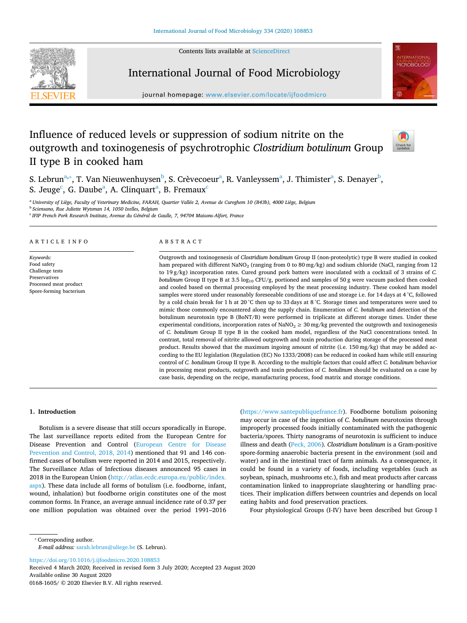Contents lists available at [ScienceDirect](http://www.sciencedirect.com/science/journal/01681605)





International Journal of Food Microbiology

journal homepage: [www.elsevier.com/locate/ijfoodmicro](https://www.elsevier.com/locate/ijfoodmicro)

# Influence of reduced levels or suppression of sodium nitrite on the outgrowth and toxinogenesis of psychrotrophic *Clostridium botulinum* Group II type B in cooked ham



S. Lebrun<sup>[a,](#page-0-0)</sup>\*, T. V[a](#page-0-0)n Nieuwenhuysen<sup>[b](#page-0-2)</sup>, S. Crèvecoeur<sup>a</sup>, R. Vanleyssem<sup>a</sup>, J. Thimister<sup>a</sup>, S. Denayer<sup>b</sup>, S. Jeuge<sup>[c](#page-0-3)</sup>, G. D[a](#page-0-0)ube<sup>a</sup>, A. Clinquart<sup>a</sup>, B. Fremaux<sup>c</sup>

<span id="page-0-0"></span><sup>a</sup> *University of Liège, Faculty of Veterinary Medicine, FARAH, Quartier Vallée 2, Avenue de Cureghem 10 (B43b), 4000 Liège, Belgium*

<span id="page-0-2"></span><sup>b</sup> *Sciensano, Rue Juliette Wytsman 14, 1050 Ixelles, Belgium*

<span id="page-0-3"></span><sup>c</sup> *IFIP French Pork Research Institute, Avenue du Général de Gaulle, 7, 94704 Maisons-Alfort, France*

## ARTICLE INFO

*Keywords:* Food safety Challenge tests Preservatives Processed meat product Spore-forming bacterium

# ABSTRACT

Outgrowth and toxinogenesis of *Clostridium botulinum* Group II (non-proteolytic) type B were studied in cooked ham prepared with different NaNO<sub>2</sub> (ranging from 0 to 80 mg/kg) and sodium chloride (NaCl, ranging from 12 to 19 g/kg) incorporation rates. Cured ground pork batters were inoculated with a cocktail of 3 strains of *C. botulinum* Group II type B at 3.5 log<sub>10</sub> CFU/g, portioned and samples of 50 g were vacuum packed then cooked and cooled based on thermal processing employed by the meat processing industry. These cooked ham model samples were stored under reasonably foreseeable conditions of use and storage i.e. for 14 days at 4 °C, followed by a cold chain break for 1 h at 20 °C then up to 33 days at 8 °C. Storage times and temperatures were used to mimic those commonly encountered along the supply chain. Enumeration of *C. botulinum* and detection of the botulinum neurotoxin type B (BoNT/B) were performed in triplicate at different storage times. Under these experimental conditions, incorporation rates of NaNO<sub>2</sub>  $\geq$  30 mg/kg prevented the outgrowth and toxinogenesis of *C. botulinum* Group II type B in the cooked ham model, regardless of the NaCl concentrations tested. In contrast, total removal of nitrite allowed outgrowth and toxin production during storage of the processed meat product. Results showed that the maximum ingoing amount of nitrite (i.e. 150 mg/kg) that may be added according to the EU legislation (Regulation (EC) No 1333/2008) can be reduced in cooked ham while still ensuring control of *C. botulinum* Group II type B. According to the multiple factors that could affect *C. botulinum* behavior in processing meat products, outgrowth and toxin production of *C. botulinum* should be evaluated on a case by case basis, depending on the recipe, manufacturing process, food matrix and storage conditions.

# **1. Introduction**

Botulism is a severe disease that still occurs sporadically in Europe. The last surveillance reports edited from the European Centre for Disease Prevention and Control ([European Centre for Disease](#page-6-0) [Prevention and Control, 2018, 2014\)](#page-6-0) mentioned that 91 and 146 confirmed cases of botulism were reported in 2014 and 2015, respectively. The Surveillance Atlas of Infectious diseases announced 95 cases in 2018 in the European Union [\(http://atlas.ecdc.europa.eu/public/index.](http://atlas.ecdc.europa.eu/public/index.aspx) [aspx](http://atlas.ecdc.europa.eu/public/index.aspx)). These data include all forms of botulism (i.e. foodborne, infant, wound, inhalation) but foodborne origin constitutes one of the most common forms. In France, an average annual incidence rate of 0.37 per one million population was obtained over the period 1991–2016

(<https://www.santepubliquefrance.fr>). Foodborne botulism poisoning may occur in case of the ingestion of *C. botulinum* neurotoxins through improperly processed foods initially contaminated with the pathogenic bacteria/spores. Thirty nanograms of neurotoxin is sufficient to induce illness and death [\(Peck, 2006](#page-6-1)). *Clostridium botulinum* is a Gram-positive spore-forming anaerobic bacteria present in the environment (soil and water) and in the intestinal tract of farm animals. As a consequence, it could be found in a variety of foods, including vegetables (such as soybean, spinach, mushrooms etc.), fish and meat products after carcass contamination linked to inappropriate slaughtering or handling practices. Their implication differs between countries and depends on local eating habits and food preservation practices.

Four physiological Groups (I-IV) have been described but Group I

<span id="page-0-1"></span>⁎ Corresponding author.

*E-mail address:* [sarah.lebrun@uliege.be](mailto:sarah.lebrun@uliege.be) (S. Lebrun).

<https://doi.org/10.1016/j.ijfoodmicro.2020.108853>

Received 4 March 2020; Received in revised form 3 July 2020; Accepted 23 August 2020 Available online 30 August 2020

0168-1605/ © 2020 Elsevier B.V. All rights reserved.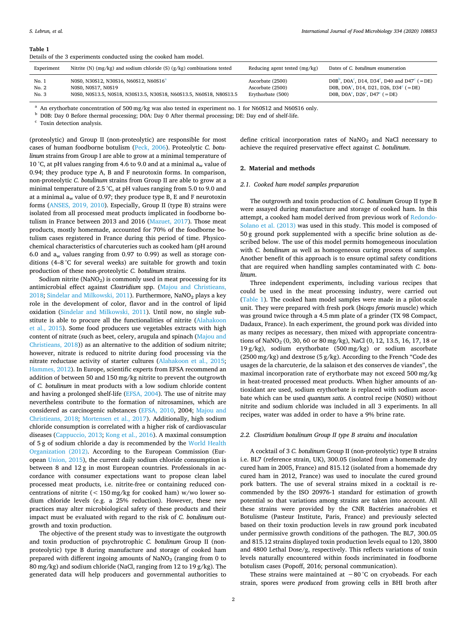<span id="page-1-0"></span>

| Details of the 3 experiments conducted using the cooked ham model. |                                                                          |                    |  |  |  |  |
|--------------------------------------------------------------------|--------------------------------------------------------------------------|--------------------|--|--|--|--|
| Experiment                                                         | Nitrite (N) (mg/kg) and sodium chloride (S) $(g/kg)$ combinations tested | Reducing agent tes |  |  |  |  |

| Experiment | Nitrite (N) $(mg/kg)$ and sodium chloride (S) $(g/kg)$ combinations tested | Reducing agent tested (mg/kg) | Dates of <i>C. botulinum</i> enumeration                                                     |
|------------|----------------------------------------------------------------------------|-------------------------------|----------------------------------------------------------------------------------------------|
| No. 1      | N0S0, N30S12, N30S16, N60S12, N60S16 <sup>a</sup>                          | Ascorbate (2500)              | D0B <sup>b</sup> , D0A <sup>c</sup> , D14, D34 <sup>c</sup> , D40 and D47 <sup>c</sup> (=DE) |
| No. 2      | N0S0, N0S17, N0S19                                                         | Ascorbate (2500)              | DOB, DOA <sup>c</sup> , D14, D21, D26, D34 <sup>c</sup> (=DE)                                |
| No. 3      | N0S0, N0S13.5, N0S18, N30S13.5, N30S18, N60S13.5, N60S18, N80S13.5         | Erythorbate (500)             | DOB, $DOA^c$ , $D26^c$ , $D47^c$ (= DE)                                                      |

<span id="page-1-1"></span>An erythorbate concentration of 500 mg/kg was also tested in experiment no. 1 for N60S12 and N60S16 only.

<span id="page-1-2"></span><sup>b</sup> D0B: Day 0 Before thermal processing; D0A: Day 0 After thermal processing; DE: Day end of shelf-life.

<span id="page-1-3"></span><sup>c</sup> Toxin detection analysis.

(proteolytic) and Group II (non-proteolytic) are responsible for most cases of human foodborne botulism ([Peck, 2006\)](#page-6-1). Proteolytic *C. botulinum* strains from Group I are able to grow at a minimal temperature of 10 °C, at pH values ranging from 4.6 to 9.0 and at a minimal  $a_w$  value of 0.94; they produce type A, B and F neurotoxin forms. In comparison, non-proteolytic *C. botulinum* strains from Group II are able to grow at a minimal temperature of 2.5 °C, at pH values ranging from 5.0 to 9.0 and at a minimal  $a_w$  value of 0.97; they produce type B, E and F neurotoxin forms [\(ANSES, 2019, 2010](#page-5-0)). Especially, Group II (type B) strains were isolated from all processed meat products implicated in foodborne botulism in France between 2013 and 2016 ([Mazuet, 2017\)](#page-6-2). Those meat products, mostly homemade, accounted for 70% of the foodborne botulism cases registered in France during this period of time. Physicochemical characteristics of charcuteries such as cooked ham (pH around 6.0 and  $a_w$  values ranging from 0.97 to 0.99) as well as storage conditions (4–8 °C for several weeks) are suitable for growth and toxin production of these non-proteolytic *C. botulinum* strains.

Sodium nitrite  $(NaNO<sub>2</sub>)$  is commonly used in meat processing for its antimicrobial effect against *Clostridium* spp. [\(Majou and Christieans,](#page-6-3) [2018;](#page-6-3) [Sindelar and Milkowski, 2011\)](#page-6-4). Furthermore, NaNO<sub>2</sub> plays a key role in the development of color, flavor and in the control of lipid oxidation [\(Sindelar and Milkowski, 2011\)](#page-6-4). Until now, no single substitute is able to procure all the functionalities of nitrite ([Alahakoon](#page-5-1) [et al., 2015\)](#page-5-1). Some food producers use vegetables extracts with high content of nitrate (such as beet, celery, arugula and spinach [\(Majou and](#page-6-3) [Christieans, 2018\)](#page-6-3)) as an alternative to the addition of sodium nitrite; however, nitrate is reduced to nitrite during food processing via the nitrate reductase activity of starter cultures ([Alahakoon et al., 2015](#page-5-1); [Hammes, 2012](#page-6-5)). In Europe, scientific experts from EFSA recommend an addition of between 50 and 150 mg/kg nitrite to prevent the outgrowth of *C. botulinum* in meat products with a low sodium chloride content and having a prolonged shelf-life ([EFSA, 2004\)](#page-6-6). The use of nitrite may nevertheless contribute to the formation of nitrosamines, which are considered as carcinogenic substances [\(EFSA, 2010,](#page-6-7) 2004; [Majou and](#page-6-3) [Christieans, 2018;](#page-6-3) [Mortensen et al., 2017\)](#page-6-8). Additionally, high sodium chloride consumption is correlated with a higher risk of cardiovascular diseases [\(Cappuccio, 2013](#page-6-9); [Kong et al., 2016](#page-6-10)). A maximal consumption of 5 g of sodium chloride a day is recommended by the [World Health](#page-6-11) [Organization \(2012\).](#page-6-11) According to the European Commission (European [Union, 2015\)](#page-6-12), the current daily sodium chloride consumption is between 8 and 12 g in most European countries. Professionals in accordance with consumer expectations want to propose clean label processed meat products, i.e. nitrite-free or containing reduced concentrations of nitrite (< 150 mg/kg for cooked ham) w/wo lower sodium chloride levels (e.g. a 25% reduction). However, these new practices may alter microbiological safety of these products and their impact must be evaluated with regard to the risk of *C. botulinum* outgrowth and toxin production.

The objective of the present study was to investigate the outgrowth and toxin production of psychrotrophic *C. botulinum* Group II (nonproteolytic) type B during manufacture and storage of cooked ham prepared with different ingoing amounts of  $\text{NaNO}_2$  (ranging from 0 to 80 mg/kg) and sodium chloride (NaCl, ranging from 12 to 19 g/kg). The generated data will help producers and governmental authorities to

define critical incorporation rates of  $NaNO<sub>2</sub>$  and  $NaCl$  necessary to achieve the required preservative effect against *C. botulinum*.

# **2. Material and methods**

## *2.1. Cooked ham model samples preparation*

The outgrowth and toxin production of *C. botulinum* Group II type B were assayed during manufacture and storage of cooked ham. In this attempt, a cooked ham model derived from previous work of [Redondo-](#page-6-13)[Solano et al. \(2013\)](#page-6-13) was used in this study. This model is composed of 50 g ground pork supplemented with a specific brine solution as described below. The use of this model permits homogeneous inoculation with *C. botulinum* as well as homogeneous curing process of samples. Another benefit of this approach is to ensure optimal safety conditions that are required when handling samples contaminated with *C. botulinum*.

Three independent experiments, including various recipes that could be used in the meat processing industry, were carried out ([Table 1\)](#page-1-0). The cooked ham model samples were made in a pilot-scale unit. They were prepared with fresh pork (*biceps femoris* muscle) which was ground twice through a 4.5 mm plate of a grinder (TX 98 Compact, Dadaux, France). In each experiment, the ground pork was divided into as many recipes as necessary, then mixed with appropriate concentrations of NaNO<sub>2</sub> (0, 30, 60 or 80 mg/kg), NaCl (0, 12, 13.5, 16, 17, 18 or 19 g/kg), sodium erythorbate (500 mg/kg) or sodium ascorbate (2500 mg/kg) and dextrose (5 g/kg). According to the French "Code des usages de la charcuterie, de la salaison et des conserves de viandes", the maximal incorporation rate of erythorbate may not exceed 500 mg/kg in heat-treated processed meat products. When higher amounts of antioxidant are used, sodium erythorbate is replaced with sodium ascorbate which can be used *quantum satis*. A control recipe (N0S0) without nitrite and sodium chloride was included in all 3 experiments. In all recipes, water was added in order to have a 9% brine rate.

#### *2.2. Clostridium botulinum Group II type B strains and inoculation*

A cocktail of 3 *C. botulinum* Group II (non-proteolytic) type B strains i.e. BL7 (reference strain, UK), 300.05 (isolated from a homemade dry cured ham in 2005, France) and 815.12 (isolated from a homemade dry cured ham in 2012, France) was used to inoculate the cured ground pork batters. The use of several strains mixed in a cocktail is recommended by the ISO 20976-1 standard for estimation of growth potential so that variations among strains are taken into account. All these strains were provided by the CNR Bactéries anaérobies et Botulisme (Pasteur Institute, Paris, France) and previously selected based on their toxin production levels in raw ground pork incubated under permissive growth conditions of the pathogen. The BL7, 300.05 and 815.12 strains displayed toxin production levels equal to 120, 3800 and 4800 Lethal Dose/g, respectively. This reflects variations of toxin levels naturally encountered within foods incriminated in foodborne botulism cases (Popoff, 2016; personal communication).

These strains were maintained at −80 °C on cryobeads. For each strain, spores were *produced* from growing cells in BHI broth after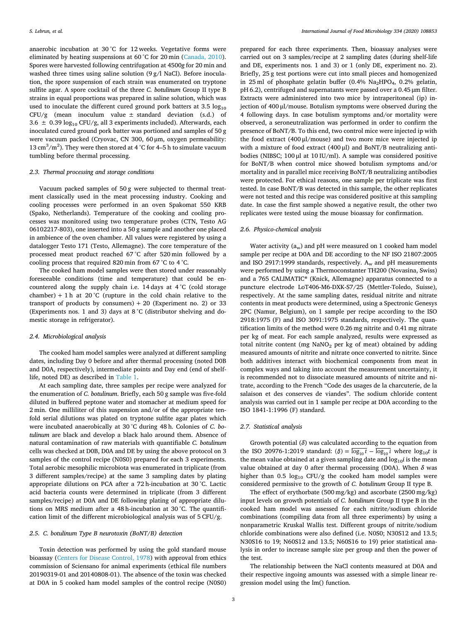anaerobic incubation at 30 °C for 12 weeks. Vegetative forms were eliminated by heating suspensions at 60 °C for 20 min [\(Canada, 2010](#page-5-2)). Spores were harvested following centrifugation at 4500*g* for 20 min and washed three times using saline solution (9  $g$ /l NaCl). Before inoculation, the spore suspension of each strain was enumerated on tryptone sulfite agar. A spore cocktail of the three *C. botulinum* Group II type B strains in equal proportions was prepared in saline solution, which was used to inoculate the different cured ground pork batters at  $3.5 \log_{10}$  $CFU/g$  (mean inoculum value  $\pm$  standard deviation (s.d.) of  $3.6 \pm 0.39 \log_{10}$  CFU/g, all 3 experiments included). Afterwards, each inoculated cured ground pork batter was portioned and samples of 50 g were vacuum packed (Cryovac, CN 300, 60 μm, oxygen permeability: 13 cm<sup>3</sup>/m<sup>2</sup>). They were then stored at 4 °C for 4–5 h to simulate vacuum tumbling before thermal processing.

# *2.3. Thermal processing and storage conditions*

Vacuum packed samples of 50 g were subjected to thermal treatment classically used in the meat processing industry. Cooking and cooling processes were performed in an oven Spakomat 550 KRB (Spako, Netherlands). Temperature of the cooking and cooling processes was monitored using two temperature probes (CTN, Testo AG 06102217-803), one inserted into a 50 g sample and another one placed in ambience of the oven chamber. All values were registered by using a datalogger Testo 171 (Testo, Allemagne). The core temperature of the processed meat product reached 67 °C after 520 min followed by a cooling process that required 820 min from 67 °C to 4 °C.

The cooked ham model samples were then stored under reasonably foreseeable conditions (time and temperature) that could be encountered along the supply chain i.e. 14 days at 4 °C (cold storage chamber) + 1 h at 20 °C (rupture in the cold chain relative to the transport of products by consumers)  $+ 20$  (Experiment no. 2) or 33 (Experiments nos. 1 and 3) days at 8 °C (distributor shelving and domestic storage in refrigerator).

# *2.4. Microbiological analysis*

The cooked ham model samples were analyzed at different sampling dates, including Day 0 before and after thermal processing (noted D0B and D0A, respectively), intermediate points and Day end (end of shelflife, noted DE) as described in [Table 1.](#page-1-0)

At each sampling date, three samples per recipe were analyzed for the enumeration of *C. botulinum*. Briefly, each 50 g sample was five-fold diluted in buffered peptone water and stomacher at medium speed for 2 min. One milliliter of this suspension and/or of the appropriate tenfold serial dilutions was plated on tryptone sulfite agar plates which were incubated anaerobically at 30 °C during 48 h. Colonies of *C. botulinum* are black and develop a black halo around them. Absence of natural contamination of raw materials with quantifiable *C. botulinum* cells was checked at D0B, D0A and DE by using the above protocol on 3 samples of the control recipe (N0S0) prepared for each 3 experiments. Total aerobic mesophilic microbiota was enumerated in triplicate (from 3 different samples/recipe) at the same 3 sampling dates by plating appropriate dilutions on PCA after a 72 h-incubation at 30 °C. Lactic acid bacteria counts were determined in triplicate (from 3 different samples/recipe) at D0A and DE following plating of appropriate dilutions on MRS medium after a 48 h-incubation at 30 °C. The quantification limit of the different microbiological analysis was of 5 CFU/g.

## *2.5. C. botulinum Type B neurotoxin (BoNT/B) detection*

Toxin detection was performed by using the gold standard mouse bioassay ([Centers for Disease Control, 1978\)](#page-6-14) with approval from ethics commission of Sciensano for animal experiments (ethical file numbers 20190319-01 and 20140808-01). The absence of the toxin was checked at D0A in 5 cooked ham model samples of the control recipe (N0S0)

prepared for each three experiments. Then, bioassay analyses were carried out on 3 samples/recipe at 2 sampling dates (during shelf-life and DE, experiments nos. 1 and 3) or 1 (only DE, experiment no. 2). Briefly, 25 g test portions were cut into small pieces and homogenized in 25 ml of phosphate gelatin buffer (0.4%  $Na<sub>2</sub>HPO<sub>4</sub>$ , 0.2% gelatin, pH 6.2), centrifuged and supernatants were passed over a 0.45 μm filter. Extracts were administered into two mice by intraperitoneal (ip) injection of 400 μl/mouse. Botulism symptoms were observed during the 4 following days. In case botulism symptoms and/or mortality were observed, a seroneutralization was performed in order to confirm the presence of BoNT/B. To this end, two control mice were injected ip with the food extract (400 μl/mouse) and two more mice were injected ip with a mixture of food extract (400 μl) and BoNT/B neutralizing antibodies (NIBSC; 100 μl at 10 IU/ml). A sample was considered positive for BoNT/B when control mice showed botulism symptoms and/or mortality and in parallel mice receiving BoNT/B neutralizing antibodies were protected. For ethical reasons, one sample per triplicate was first tested. In case BoNT/B was detected in this sample, the other replicates were not tested and this recipe was considered positive at this sampling date. In case the first sample showed a negative result, the other two replicates were tested using the mouse bioassay for confirmation.

## *2.6. Physico-chemical analysis*

Water activity  $(a_w)$  and pH were measured on 1 cooked ham model sample per recipe at D0A and DE according to the NF ISO 21807:2005 and ISO 2917:1999 standards, respectively.  $A_w$  and pH measurements were performed by using a Thermoconstanter TH200 (Novasina, Swiss) and a 765 CALIMATIC® (Knick, Allemagne) apparatus connected to a puncture electrode LoT406-M6-DXK-S7/25 (Mettler-Toledo, Suisse), respectively. At the same sampling dates, residual nitrite and nitrate contents in meat products were determined, using a Spectronic Genesys 2PC (Namur, Belgium), on 1 sample per recipe according to the ISO 2918:1975 (F) and ISO 3091:1975 standards, respectively. The quantification limits of the method were 0.26 mg nitrite and 0.41 mg nitrate per kg of meat. For each sample analyzed, results were expressed as total nitrite content (mg NaNO<sub>2</sub> per kg of meat) obtained by adding measured amounts of nitrite and nitrate once converted to nitrite. Since both additives interact with biochemical components from meat in complex ways and taking into account the measurement uncertainty, it is recommended not to dissociate measured amounts of nitrite and nitrate, according to the French "Code des usages de la charcuterie, de la salaison et des conserves de viandes". The sodium chloride content analysis was carried out in 1 sample per recipe at D0A according to the ISO 1841-1:1996 (F) standard.

#### *2.7. Statistical analysis*

Growth potential (*δ*) was calculated according to the equation from the ISO 20976-1:2019 standard:  $(\delta) = \overline{\log_{10} t} - \overline{\log_{10} t}$  where  $\log_{10} t$  is the mean value obtained at a given sampling date and log<sub>10</sub>*i* is the mean value obtained at day 0 after thermal processing (D0A). When *δ* was higher than  $0.5 \log_{10}$  CFU/g the cooked ham model samples were considered permissive to the growth of *C. botulinum* Group II type B.

The effect of erythorbate (500 mg/kg) and ascorbate (2500 mg/kg) input levels on growth potentials of *C. botulinum* Group II type B in the cooked ham model was assessed for each nitrite/sodium chloride combinations (compiling data from all three experiments) by using a nonparametric Kruskal Wallis test. Different groups of nitrite/sodium chloride combinations were also defined (i.e. N0S0; N30S12 and 13.5; N30S16 to 19; N60S12 and 13.5; N60S16 to 19) prior statistical analysis in order to increase sample size per group and then the power of the test.

The relationship between the NaCl contents measured at D0A and their respective ingoing amounts was assessed with a simple linear regression model using the lm() function.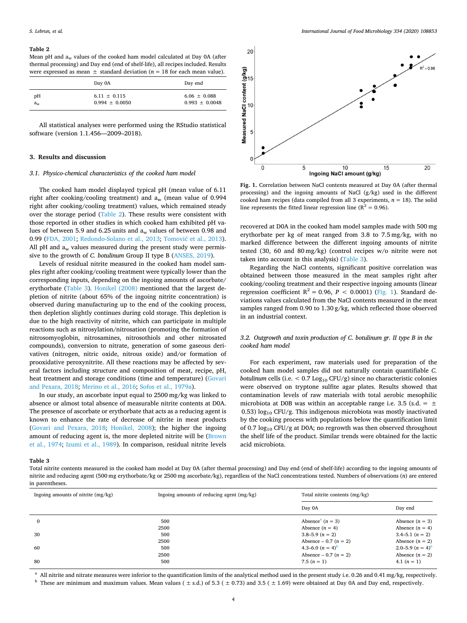#### <span id="page-3-0"></span>**Table 2**

Mean pH and  $a_w$  values of the cooked ham model calculated at Day 0A (after thermal processing) and Day end (end of shelf-life), all recipes included. Results were expressed as mean  $\pm$  standard deviation ( $n = 18$  for each mean value).

|       | Day 0A             | Day end            |
|-------|--------------------|--------------------|
| pH    | $6.11 \pm 0.115$   | $6.06 \pm 0.088$   |
| $a_w$ | $0.994 \pm 0.0050$ | $0.993 \pm 0.0048$ |

All statistical analyses were performed using the RStudio statistical software (version 1.1.456—2009–2018).

#### **3. Results and discussion**

#### *3.1. Physico-chemical characteristics of the cooked ham model*

The cooked ham model displayed typical pH (mean value of 6.11 right after cooking/cooling treatment) and  $a_w$  (mean value of 0.994 right after cooking/cooling treatment) values, which remained steady over the storage period [\(Table 2\)](#page-3-0). These results were consistent with those reported in other studies in which cooked ham exhibited pH values of between 5.9 and 6.25 units and  $a_w$  values of between 0.98 and 0.99 [\(FDA, 2001](#page-6-15); [Redondo-Solano et al., 2013;](#page-6-13) [Tomović et al., 2013](#page-6-16)). All pH and  $a_w$  values measured during the present study were permissive to the growth of *C. botulinum* Group II type B ([ANSES, 2019\)](#page-5-0).

Levels of residual nitrite measured in the cooked ham model samples right after cooking/cooling treatment were typically lower than the corresponding inputs, depending on the ingoing amounts of ascorbate/ erythorbate ([Table 3](#page-3-1)). [Honikel \(2008\)](#page-6-17) mentioned that the largest depletion of nitrite (about 65% of the ingoing nitrite concentration) is observed during manufacturing up to the end of the cooking process, then depletion slightly continues during cold storage. This depletion is due to the high reactivity of nitrite, which can participate in multiple reactions such as nitrosylation/nitrosation (promoting the formation of nitrosomyoglobin, nitrosamines, nitrosothiols and other nitrosated compounds), conversion to nitrate, generation of some gaseous derivatives (nitrogen, nitric oxide, nitrous oxide) and/or formation of prooxidative peroxynitrite. All these reactions may be affected by several factors including structure and composition of meat, recipe, pH, heat treatment and storage conditions (time and temperature) ([Govari](#page-6-18) [and Pexara, 2018;](#page-6-18) [Merino et al., 2016;](#page-6-19) [Sofos et al., 1979a\)](#page-6-20).

In our study, an ascorbate input equal to 2500 mg/kg was linked to absence or almost total absence of measurable nitrite contents at D0A. The presence of ascorbate or erythorbate that acts as a reducing agent is known to enhance the rate of decrease of nitrite in meat products ([Govari and Pexara, 2018;](#page-6-18) [Honikel, 2008\)](#page-6-17); the higher the ingoing amount of reducing agent is, the more depleted nitrite will be ([Brown](#page-5-3) [et al., 1974](#page-5-3); [Izumi et al., 1989\)](#page-6-21). In comparison, residual nitrite levels

<span id="page-3-2"></span>

**Fig. 1.** Correlation between NaCl contents measured at Day 0A (after thermal processing) and the ingoing amounts of NaCl (g/kg) used in the different cooked ham recipes (data compiled from all 3 experiments,  $n = 18$ ). The solid line represents the fitted linear regression line ( $R^2 = 0.96$ ).

recovered at D0A in the cooked ham model samples made with 500 mg erythorbate per kg of meat ranged from 3.8 to 7.5 mg/kg, with no marked difference between the different ingoing amounts of nitrite tested (30, 60 and 80 mg/kg) (control recipes w/o nitrite were not taken into account in this analysis) [\(Table 3\)](#page-3-1).

Regarding the NaCl contents, significant positive correlation was obtained between those measured in the meat samples right after cooking/cooling treatment and their respective ingoing amounts (linear regression coefficient  $R^2 = 0.96$ ,  $P < 0.0001$ ) [\(Fig. 1](#page-3-2)). Standard deviations values calculated from the NaCl contents measured in the meat samples ranged from 0.90 to 1.30 g/kg, which reflected those observed in an industrial context.

*3.2. Outgrowth and toxin production of C. botulinum gr. II type B in the cooked ham model*

For each experiment, raw materials used for preparation of the cooked ham model samples did not naturally contain quantifiable *C. botulinum* cells (i.e. < 0.7 Log<sub>10</sub> CFU/g) since no characteristic colonies were observed on tryptone sulfite agar plates. Results showed that contamination levels of raw materials with total aerobic mesophilic microbiota at D0B was within an acceptable range i.e. 3.5 (s.d.  $= \pm$ 0.53)  $log_{10}$  CFU/g. This indigenous microbiota was mostly inactivated by the cooking process with populations below the quantification limit of 0.7  $log_{10}$  CFU/g at D0A; no regrowth was then observed throughout the shelf life of the product. Similar trends were obtained for the lactic acid microbiota.

#### <span id="page-3-1"></span>**Table 3**

Total nitrite contents measured in the cooked ham model at Day 0A (after thermal processing) and Day end (end of shelf-life) according to the ingoing amounts of nitrite and reducing agent (500 mg erythorbate/kg or 2500 mg ascorbate/kg), regardless of the NaCl concentrations tested. Numbers of observations (*n*) are entered in parentheses

| Ingoing amounts of nitrite (mg/kg) | Ingoing amounts of reducing agent $(mg/kg)$ | Total nitrite contents (mg/kg)   |                       |
|------------------------------------|---------------------------------------------|----------------------------------|-----------------------|
|                                    |                                             | Day 0A                           | Day end               |
| $\mathbf{0}$                       | 500                                         | Absence <sup>a</sup> ( $n = 3$ ) | Absence $(n = 3)$     |
|                                    | 2500                                        | Absence $(n = 4)$                | Absence $(n = 4)$     |
| 30                                 | 500                                         | $3.8 - 5.9 (n = 2)$              | $3.4 - 5.1$ $(n = 2)$ |
|                                    | 2500                                        | Absence – 0.7 $(n = 2)$          | Absence $(n = 2)$     |
| 60                                 | 500                                         | 4.3–6.0 $(n = 4)^b$              | 2.0–5.9 $(n = 4)^b$   |
|                                    | 2500                                        | Absence – 0.7 $(n = 2)$          | Absence $(n = 2)$     |
| 80                                 | 500                                         | 7.5 $(n = 1)$                    | 4.1 $(n = 1)$         |

<span id="page-3-4"></span><span id="page-3-3"></span> $a$  All nitrite and nitrate measures were inferior to the quantification limits of the analytical method used in the present study i.e. 0.26 and 0.41 mg/kg, respectively. <sup>b</sup> These are minimum and maximum values. Mean values ( $\pm$  s.d.) of 5.3 ( $\pm$  0.73) and 3.5 ( $\pm$  1.69) were obtained at Day 0A and Day end, respectively.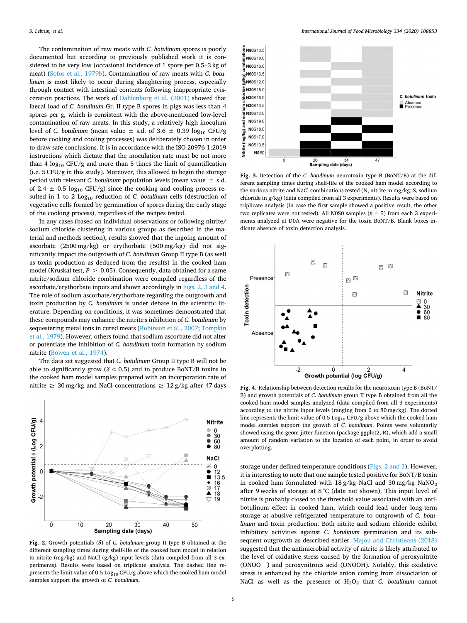The contamination of raw meats with *C. botulinum* spores is poorly documented but according to previously published work it is considered to be very low (occasional incidence of 1 spore per 0.5–3 kg of meat) ([Sofos et al., 1979b\)](#page-6-22). Contamination of raw meats with *C. botulinum* is most likely to occur during slaughtering process, especially through contact with intestinal contents following inappropriate evisceration practices. The work of [Dahlenborg et al. \(2001\)](#page-6-23) showed that faecal load of *C. botulinum* Gr. II type B spores in pigs was less than 4 spores per g, which is consistent with the above-mentioned low-level contamination of raw meats. In this study, a relatively high inoculum level of *C. botulinum* (mean value  $\pm$  s.d. of 3.6  $\pm$  0.39 log<sub>10</sub> CFU/g before cooking and cooling processes) was deliberately chosen in order to draw safe conclusions. It is in accordance with the ISO 20976-1:2019 instructions which dictate that the inoculation rate must be not more than 4  $log_{10}$  CFU/g and more than 5 times the limit of quantification (i.e. 5 CFU/g in this study). Moreover, this allowed to begin the storage period with relevant *C*. botulinum population levels (mean value  $\pm$  s.d. of 2.4  $\pm$  0.5 log<sub>10</sub> CFU/g) since the cooking and cooling process resulted in 1 to 2 Log<sub>10</sub> reduction of *C. botulinum* cells (destruction of vegetative cells formed by germination of spores during the early stage of the cooking process), regardless of the recipes tested.

In any cases (based on individual observations or following nitrite/ sodium chloride clustering in various groups as described in the material and methods section), results showed that the ingoing amount of ascorbate (2500 mg/kg) or erythorbate (500 mg/kg) did not significantly impact the outgrowth of *C. botulinum* Group II type B (as well as toxin production as deduced from the results) in the cooked ham model (Kruskal test,  $P > 0.05$ ). Consequently, data obtained for a same nitrite/sodium chloride combination were compiled regardless of the ascorbate/erythorbate inputs and shown accordingly in [Figs. 2, 3 and 4](#page-4-0). The role of sodium ascorbate/erythorbate regarding the outgrowth and toxin production by *C. botulinum* is under debate in the scientific literature. Depending on conditions, it was sometimes demonstrated that these compounds may enhance the nitrite's inhibition of *C. botulinum* by sequestering metal ions in cured meats [\(Robinson et al., 2007;](#page-6-24) [Tompkin](#page-6-25) [et al., 1979](#page-6-25)). However, others found that sodium ascorbate did not alter or potentiate the inhibition of *C. botulinum* toxin formation by sodium nitrite [\(Bowen et al., 1974](#page-5-4)).

The data set suggested that *C. botulinum* Group II type B will not be able to significantly grow ( $\delta$  < 0.5) and to produce BoNT/B toxins in the cooked ham model samples prepared with an incorporation rate of nitrite  $\geq 30$  mg/kg and NaCl concentrations  $\geq 12$  g/kg after 47 days

<span id="page-4-0"></span>

**Fig. 2.** Growth potentials (*δ*) of *C. botulinum* group II type B obtained at the different sampling times during shelf-life of the cooked ham model in relation to nitrite (mg/kg) and NaCl (g/kg) input levels (data compiled from all 3 experiments). Results were based on triplicate analysis. The dashed line represents the limit value of  $0.5 \text{ Log}_{10}$  CFU/g above which the cooked ham model samples support the growth of *C. botulinum*.

<span id="page-4-1"></span>

**Fig. 3.** Detection of the *C. botulinum* neurotoxin type B (BoNT/B) at the different sampling times during shelf-life of the cooked ham model according to the various nitrite and NaCl combinations tested (N, nitrite in mg/kg; S, sodium chloride in g/kg) (data compiled from all 3 experiments). Results were based on triplicate analysis (in case the first sample showed a positive result, the other two replicates were not tested). All N0S0 samples (*n* = 5) from each 3 experiments analyzed at D0A were negative for the toxin BoNT/B. Blank boxes indicate absence of toxin detection analysis.

<span id="page-4-2"></span>

**Fig. 4.** Relationship between detection results for the neurotoxin type B (BoNT/ B) and growth potentials of *C. botulinum* group II type B obtained from all the cooked ham model samples analyzed (data compiled from all 3 experiments) according to the nitrite input levels (ranging from 0 to 80 mg/kg). The dotted line represents the limit value of 0.5  $Log<sub>10</sub>$  CFU/g above which the cooked ham model samples support the growth of *C. botulinum*. Points were voluntarily showed using the geom\_jitter function (package ggplot2, R), which add a small amount of random variation to the location of each point, in order to avoid overplotting.

storage under defined temperature conditions [\(Figs. 2 and 3\)](#page-4-0). However, it is interesting to note that one sample tested positive for BoNT/B toxin in cooked ham formulated with  $18 g/kg$  NaCl and  $30 mg/kg$  NaNO<sub>2</sub> after 9 weeks of storage at 8 °C (data not shown). This input level of nitrite is probably closed to the threshold value associated with an antibotulinum effect in cooked ham, which could lead under long-term storage at abusive refrigerated temperature to outgrowth of *C. botulinum* and toxin production. Both nitrite and sodium chloride exhibit inhibitory activities against *C. botulinum* germination and its subsequent outgrowth as described earlier. [Majou and Christieans \(2018\)](#page-6-3) suggested that the antimicrobial activity of nitrite is likely attributed to the level of oxidative stress caused by the formation of peroxynitrite (ONOO−) and peroxynitrous acid (ONOOH). Notably, this oxidative stress is enhanced by the chloride anion coming from dissociation of NaCl as well as the presence of H<sub>2</sub>O<sub>2</sub> that *C*. botulinum cannot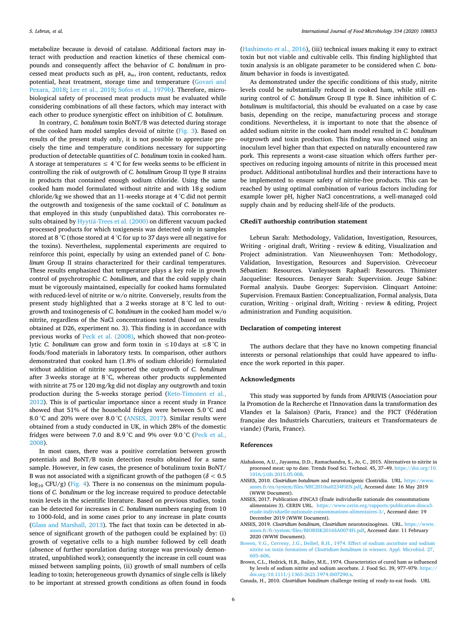metabolize because is devoid of catalase. Additional factors may interact with production and reaction kinetics of these chemical compounds and consequently affect the behavior of *C. botulinum* in processed meat products such as pH,  $a_w$ , iron content, reductants, redox potential, heat treatment, storage time and temperature [\(Govari and](#page-6-18) [Pexara, 2018;](#page-6-18) [Lee et al., 2018;](#page-6-26) [Sofos et al., 1979b](#page-6-22)). Therefore, microbiological safety of processed meat products must be evaluated while considering combinations of all these factors, which may interact with each other to produce synergistic effect on inhibition of *C. botulinum*.

In contrary, *C. botulinum* toxin BoNT/B was detected during storage of the cooked ham model samples devoid of nitrite ([Fig. 3](#page-4-1)). Based on results of the present study only, it is not possible to appreciate precisely the time and temperature conditions necessary for supporting production of detectable quantities of *C. botulinum* toxin in cooked ham. A storage at temperatures  $\leq 4^{\circ}$ C for few weeks seems to be efficient in controlling the risk of outgrowth of *C. botulinum* Group II type B strains in products that contained enough sodium chloride. Using the same cooked ham model formulated without nitrite and with 18 g sodium chloride/kg we showed that an 11-weeks storage at 4 °C did not permit the outgrowth and toxigenesis of the same cocktail of *C. botulinum* as that employed in this study (unpublished data). This corroborates results obtained by [Hyytiä-Trees et al. \(2000\)](#page-6-27) on different vacuum packed processed products for which toxigenesis was detected only in samples stored at 8 °C (those stored at 4 °C for up to 37 days were all negative for the toxins). Nevertheless, supplemental experiments are required to reinforce this point, especially by using an extended panel of *C. botulinum* Group II strains characterized for their cardinal temperatures. These results emphasized that temperature plays a key role in growth control of psychrotrophic *C. botulinum*, and that the cold supply chain must be vigorously maintained, especially for cooked hams formulated with reduced-level of nitrite or w/o nitrite. Conversely, results from the present study highlighted that a 2 weeks storage at 8 °C led to outgrowth and toxinogenesis of *C. botulinum* in the cooked ham model w/o nitrite, regardless of the NaCl concentrations tested (based on results obtained at D26, experiment no. 3). This finding is in accordance with previous works of [Peck et al. \(2008\)](#page-6-28), which showed that non-proteolytic *C. botulinum* can grow and form toxin in ≤10 days at ≤8 °C in foods/food materials in laboratory tests. In comparison, other authors demonstrated that cooked ham (1.8% of sodium chloride) formulated without addition of nitrite supported the outgrowth of *C. botulinum* after 3 weeks storage at 8 °C, whereas other products supplemented with nitrite at 75 or 120 mg/kg did not display any outgrowth and toxin production during the 5-weeks storage period ([Keto-Timonen et al.,](#page-6-29) [2012\)](#page-6-29). This is of particular importance since a recent study in France showed that 51% of the household fridges were between 5.0 °C and 8.0 °C and 20% were over 8.0 °C [\(ANSES, 2017\)](#page-5-5). Similar results were obtained from a study conducted in UK, in which 28% of the domestic fridges were between 7.0 and 8.9 °C and 9% over 9.0 °C [\(Peck et al.,](#page-6-28) [2008\)](#page-6-28).

In most cases, there was a positive correlation between growth potentials and BoNT/B toxin detection results obtained for a same sample. However, in few cases, the presence of botulinum toxin  $\mathrm{BoNT}/$ B was not associated with a significant growth of the pathogen (*δ* < 0.5  $log_{10}$  CFU/g) ([Fig. 4](#page-4-2)). There is no consensus on the minimum populations of *C. botulinum* or the log increase required to produce detectable toxin levels in the scientific literature. Based on previous studies, toxin can be detected for increases in *C. botulinum* numbers ranging from 10 to 1000-fold, and in some cases prior to any increase in plate counts ([Glass and Marshall, 2013](#page-6-30)). The fact that toxin can be detected in absence of significant growth of the pathogen could be explained by: (i) growth of vegetative cells to a high number followed by cell death (absence of further sporulation during storage was previously demonstrated, unpublished work); consequently the increase in cell count was missed between sampling points, (ii) growth of small numbers of cells leading to toxin; heterogeneous growth dynamics of single cells is likely to be important at stressed growth conditions as often found in foods

([Hashimoto et al., 2016](#page-6-31)), (iii) technical issues making it easy to extract toxin but not viable and cultivable cells. This finding highlighted that toxin analysis is an obligate parameter to be considered when *C. botulinum* behavior in foods is investigated.

As demonstrated under the specific conditions of this study, nitrite levels could be substantially reduced in cooked ham, while still ensuring control of *C. botulinum* Group II type B. Since inhibition of *C. botulinum* is multifactorial, this should be evaluated on a case by case basis, depending on the recipe, manufacturing process and storage conditions. Nevertheless, it is important to note that the absence of added sodium nitrite in the cooked ham model resulted in *C. botulinum* outgrowth and toxin production. This finding was obtained using an inoculum level higher than that expected on naturally encountered raw pork. This represents a worst-case situation which offers further perspectives on reducing ingoing amounts of nitrite in this processed meat product. Additional antibotulinal hurdles and their interactions have to be implemented to ensure safety of nitrite-free products. This can be reached by using optimal combination of various factors including for example lower pH, higher NaCl concentrations, a well-managed cold supply chain and by reducing shelf-life of the products.

## **CRediT authorship contribution statement**

Lebrun Sarah: Methodology, Validation, Investigation, Resources, Writing - original draft, Writing - review & editing, Visualization and Project administration. Van Nieuwenhuysen Tom: Methodology, Validation, Investigation, Resources and Supervision. Crèvecoeur Sébastien: Resources. Vanleyssem Raphaël: Resources. Thimister Jacqueline: Resources. Denayer Sarah: Supervision. Jeuge Sabine: Formal analysis. Daube Georges: Supervision. Clinquart Antoine: Supervision. Fremaux Bastien: Conceptualization, Formal analysis, Data curation, Writing - original draft, Writing - review & editing, Project administration and Funding acquisition.

## **Declaration of competing interest**

The authors declare that they have no known competing financial interests or personal relationships that could have appeared to influence the work reported in this paper.

# **Acknowledgments**

This study was supported by funds from APRIVIS (Association pour la Promotion de la Recherche et l'Innovation dans la transformation des VIandes et la Salaison) (Paris, France) and the FICT (Fédération française des Industriels Charcutiers, traiteurs et Transformateurs de viande) (Paris, France).

#### **References**

- <span id="page-5-1"></span>Alahakoon, A.U., Jayasena, D.D., Ramachandra, S., Jo, C., 2015. Alternatives to nitrite in processed meat: up to date. Trends Food Sci. Technol. 45, 37–49. [https://doi.org/10.](https://doi.org/10.1016/j.tifs.2015.05.008) [1016/j.tifs.2015.05.008](https://doi.org/10.1016/j.tifs.2015.05.008).
- ANSES, 2010. *Clostridium botulinum* and neurotoxigenic Clostridia. URL. [https://www.](https://www.anses.fr/en/system/files/MIC2010sa0234FiEN.pdf) [anses.fr/en/system/files/MIC2010sa0234FiEN.pdf,](https://www.anses.fr/en/system/files/MIC2010sa0234FiEN.pdf) Accessed date: 16 May 2019 (WWW Document).
- <span id="page-5-5"></span>ANSES, 2017. Publication d'INCA3 (Étude individuelle nationale des consommations alimentaires 3). CERIN URL. [https://www.cerin.org/rapports/publication-dinca3](https://www.cerin.org/rapports/publication-dinca3-etude-individuelle-nationale-consommations-alimentaires-3/) [etude-individuelle-nationale-consommations-alimentaires-3/,](https://www.cerin.org/rapports/publication-dinca3-etude-individuelle-nationale-consommations-alimentaires-3/) Accessed date: 19 December 2019 (WWW Document).
- <span id="page-5-0"></span>ANSES, 2019. *Clostridium botulinum*, *Clostridium* neurotoxinogènes. URL. [https://www.](https://www.anses.fr/fr/system/files/BIORISK2016SA0074Fi.pdf) [anses.fr/fr/system/files/BIORISK2016SA0074Fi.pdf,](https://www.anses.fr/fr/system/files/BIORISK2016SA0074Fi.pdf) Accessed date: 11 February 2020 (WWW Document).
- <span id="page-5-4"></span>[Bowen, V.G., Cerveny, J.G., Deibel, R.H., 1974. Effect of sodium ascorbate and sodium](http://refhub.elsevier.com/S0168-1605(20)30347-0/rf0025) nitrite on toxin formation of *Clostridium botulinum* [in wieners. Appl. Microbiol. 27,](http://refhub.elsevier.com/S0168-1605(20)30347-0/rf0025) [605–606](http://refhub.elsevier.com/S0168-1605(20)30347-0/rf0025).
- <span id="page-5-3"></span>Brown, C.L., Hedrick, H.B., Bailey, M.E., 1974. Characteristics of cured ham as influenced by levels of sodium nitrite and sodium ascorbate. J. Food Sci. 39, 977–979. [https://](https://doi.org/10.1111/j.1365-2621.1974.tb07290.x) [doi.org/10.1111/j.1365-2621.1974.tb07290.x](https://doi.org/10.1111/j.1365-2621.1974.tb07290.x).
- <span id="page-5-2"></span>Canada, H., 2010. *Clostridium botulinum* challenge testing of ready-to-eat foods. URL